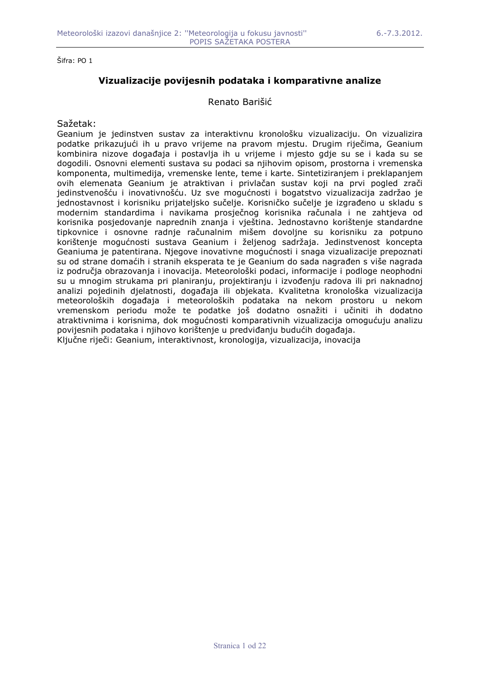# **Vizualizacije povijesnih podataka i komparativne analize**

### Renato Barišić

### Sažetak:

Geanium je jedinstven sustav za interaktivnu kronološku vizualizaciju. On vizualizira podatke prikazujući ih u pravo vrijeme na pravom mjestu. Drugim riječima, Geanium kombinira nizove dogañaja i postavlja ih u vrijeme i mjesto gdje su se i kada su se dogodili. Osnovni elementi sustava su podaci sa njihovim opisom, prostorna i vremenska komponenta, multimedija, vremenske lente, teme i karte. Sintetiziranjem i preklapanjem ovih elemenata Geanium je atraktivan i privlačan sustav koji na prvi pogled zrači jedinstvenošću i inovativnošću. Uz sve mogućnosti i bogatstvo vizualizacija zadržao je jednostavnost i korisniku prijateljsko sučelje. Korisničko sučelje je izgrađeno u skladu s modernim standardima i navikama prosječnog korisnika računala i ne zahtjeva od korisnika posjedovanje naprednih znanja i vještina. Jednostavno korištenje standardne tipkovnice i osnovne radnje računalnim mišem dovoljne su korisniku za potpuno korištenje mogućnosti sustava Geanium i željenog sadržaja. Jedinstvenost koncepta Geaniuma je patentirana. Njegove inovativne mogućnosti i snaga vizualizacije prepoznati su od strane domaćih i stranih eksperata te je Geanium do sada nagrađen s više nagrada iz područja obrazovanja i inovacija. Meteorološki podaci, informacije i podloge neophodni su u mnogim strukama pri planiranju, projektiranju i izvođenju radova ili pri naknadnoj analizi pojedinih djelatnosti, dogañaja ili objekata. Kvalitetna kronološka vizualizacija meteoroloških dogañaja i meteoroloških podataka na nekom prostoru u nekom vremenskom periodu može te podatke još dodatno osnažiti i učiniti ih dodatno atraktivnima i korisnima, dok mogućnosti komparativnih vizualizacija omogućuju analizu povijesnih podataka i njihovo korištenje u predviđanju budućih događaja. Ključne riječi: Geanium, interaktivnost, kronologija, vizualizacija, inovacija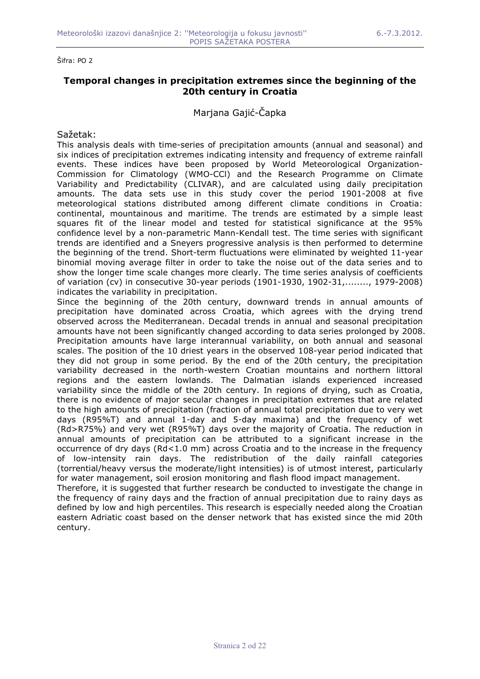## **Temporal changes in precipitation extremes since the beginning of the 20th century in Croatia**

Marjana Gajić-Čapka

Sažetak:

This analysis deals with time-series of precipitation amounts (annual and seasonal) and six indices of precipitation extremes indicating intensity and frequency of extreme rainfall events. These indices have been proposed by World Meteorological Organization-Commission for Climatology (WMO-CCl) and the Research Programme on Climate Variability and Predictability (CLIVAR), and are calculated using daily precipitation amounts. The data sets use in this study cover the period 1901-2008 at five meteorological stations distributed among different climate conditions in Croatia: continental, mountainous and maritime. The trends are estimated by a simple least squares fit of the linear model and tested for statistical significance at the 95% confidence level by a non-parametric Mann-Kendall test. The time series with significant trends are identified and a Sneyers progressive analysis is then performed to determine the beginning of the trend. Short-term fluctuations were eliminated by weighted 11-year binomial moving average filter in order to take the noise out of the data series and to show the longer time scale changes more clearly. The time series analysis of coefficients of variation (cv) in consecutive 30-year periods (1901-1930, 1902-31,........, 1979-2008) indicates the variability in precipitation.

Since the beginning of the 20th century, downward trends in annual amounts of precipitation have dominated across Croatia, which agrees with the drying trend observed across the Mediterranean. Decadal trends in annual and seasonal precipitation amounts have not been significantly changed according to data series prolonged by 2008. Precipitation amounts have large interannual variability, on both annual and seasonal scales. The position of the 10 driest years in the observed 108-year period indicated that they did not group in some period. By the end of the 20th century, the precipitation variability decreased in the north-western Croatian mountains and northern littoral regions and the eastern lowlands. The Dalmatian islands experienced increased variability since the middle of the 20th century. In regions of drying, such as Croatia, there is no evidence of major secular changes in precipitation extremes that are related to the high amounts of precipitation (fraction of annual total precipitation due to very wet days (R95%T) and annual 1-day and 5-day maxima) and the frequency of wet (Rd>R75%) and very wet (R95%T) days over the majority of Croatia. The reduction in annual amounts of precipitation can be attributed to a significant increase in the occurrence of dry days (Rd<1.0 mm) across Croatia and to the increase in the frequency of low-intensity rain days. The redistribution of the daily rainfall categories (torrential/heavy versus the moderate/light intensities) is of utmost interest, particularly for water management, soil erosion monitoring and flash flood impact management.

Therefore, it is suggested that further research be conducted to investigate the change in the frequency of rainy days and the fraction of annual precipitation due to rainy days as defined by low and high percentiles. This research is especially needed along the Croatian eastern Adriatic coast based on the denser network that has existed since the mid 20th century.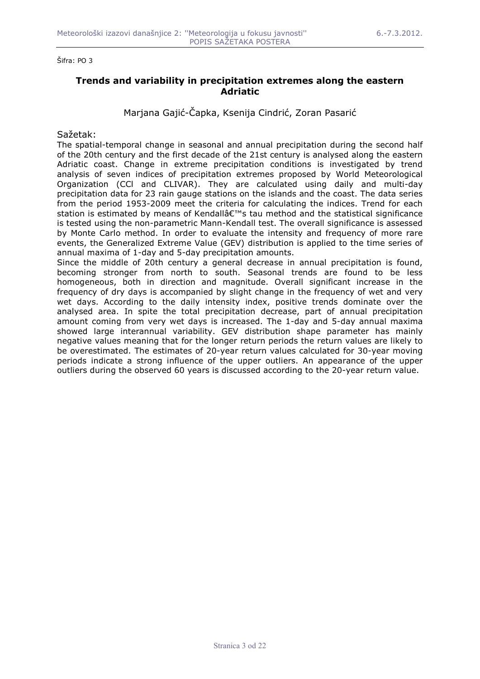## **Trends and variability in precipitation extremes along the eastern Adriatic**

Marjana Gajić-Čapka, Ksenija Cindrić, Zoran Pasarić

### Sažetak:

The spatial-temporal change in seasonal and annual precipitation during the second half of the 20th century and the first decade of the 21st century is analysed along the eastern Adriatic coast. Change in extreme precipitation conditions is investigated by trend analysis of seven indices of precipitation extremes proposed by World Meteorological Organization (CCl and CLIVAR). They are calculated using daily and multi-day precipitation data for 23 rain gauge stations on the islands and the coast. The data series from the period 1953-2009 meet the criteria for calculating the indices. Trend for each station is estimated by means of Kendall's tau method and the statistical significance is tested using the non-parametric Mann-Kendall test. The overall significance is assessed by Monte Carlo method. In order to evaluate the intensity and frequency of more rare events, the Generalized Extreme Value (GEV) distribution is applied to the time series of annual maxima of 1-day and 5-day precipitation amounts.

Since the middle of 20th century a general decrease in annual precipitation is found, becoming stronger from north to south. Seasonal trends are found to be less homogeneous, both in direction and magnitude. Overall significant increase in the frequency of dry days is accompanied by slight change in the frequency of wet and very wet days. According to the daily intensity index, positive trends dominate over the analysed area. In spite the total precipitation decrease, part of annual precipitation amount coming from very wet days is increased. The 1-day and 5-day annual maxima showed large interannual variability. GEV distribution shape parameter has mainly negative values meaning that for the longer return periods the return values are likely to be overestimated. The estimates of 20-year return values calculated for 30-year moving periods indicate a strong influence of the upper outliers. An appearance of the upper outliers during the observed 60 years is discussed according to the 20-year return value.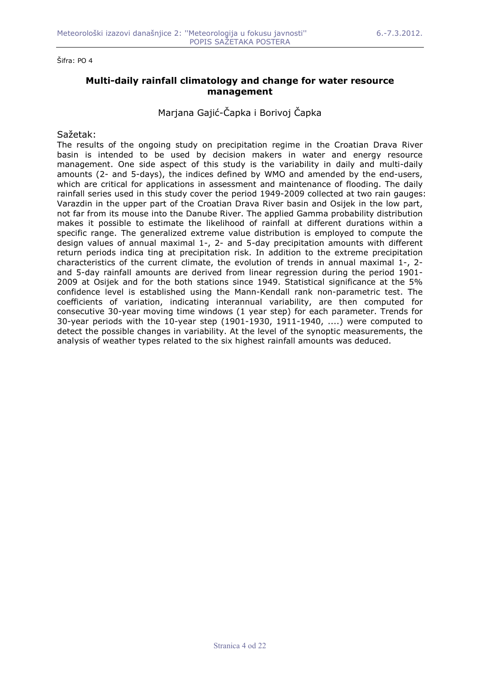## **Multi-daily rainfall climatology and change for water resource management**

Marjana Gajić-Čapka i Borivoj Čapka

### Sažetak:

The results of the ongoing study on precipitation regime in the Croatian Drava River basin is intended to be used by decision makers in water and energy resource management. One side aspect of this study is the variability in daily and multi-daily amounts (2- and 5-days), the indices defined by WMO and amended by the end-users, which are critical for applications in assessment and maintenance of flooding. The daily rainfall series used in this study cover the period 1949-2009 collected at two rain gauges: Varazdin in the upper part of the Croatian Drava River basin and Osijek in the low part, not far from its mouse into the Danube River. The applied Gamma probability distribution makes it possible to estimate the likelihood of rainfall at different durations within a specific range. The generalized extreme value distribution is employed to compute the design values of annual maximal 1-, 2- and 5-day precipitation amounts with different return periods indica ting at precipitation risk. In addition to the extreme precipitation characteristics of the current climate, the evolution of trends in annual maximal 1-, 2 and 5-day rainfall amounts are derived from linear regression during the period 1901- 2009 at Osijek and for the both stations since 1949. Statistical significance at the 5% confidence level is established using the Mann-Kendall rank non-parametric test. The coefficients of variation, indicating interannual variability, are then computed for consecutive 30-year moving time windows (1 year step) for each parameter. Trends for 30-year periods with the 10-year step (1901-1930, 1911-1940, ....) were computed to detect the possible changes in variability. At the level of the synoptic measurements, the analysis of weather types related to the six highest rainfall amounts was deduced.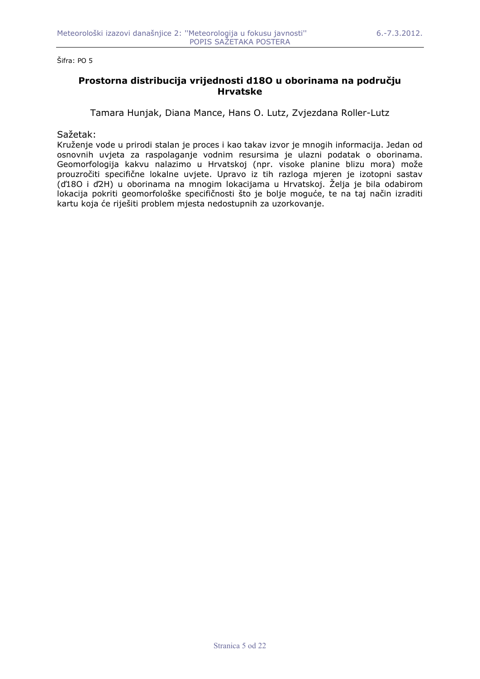## **Prostorna distribucija vrijednosti d18O u oborinama na području Hrvatske**

Tamara Hunjak, Diana Mance, Hans O. Lutz, Zvjezdana Roller-Lutz

Sažetak:

Kruženje vode u prirodi stalan je proces i kao takav izvor je mnogih informacija. Jedan od osnovnih uvjeta za raspolaganje vodnim resursima je ulazni podatak o oborinama. Geomorfologija kakvu nalazimo u Hrvatskoj (npr. visoke planine blizu mora) može prouzročiti specifične lokalne uvjete. Upravo iz tih razloga mjeren je izotopni sastav (ď18O i ď2H) u oborinama na mnogim lokacijama u Hrvatskoj. Želja je bila odabirom lokacija pokriti geomorfološke specifičnosti što je bolje moguće, te na taj način izraditi kartu koja će riješiti problem mjesta nedostupnih za uzorkovanje.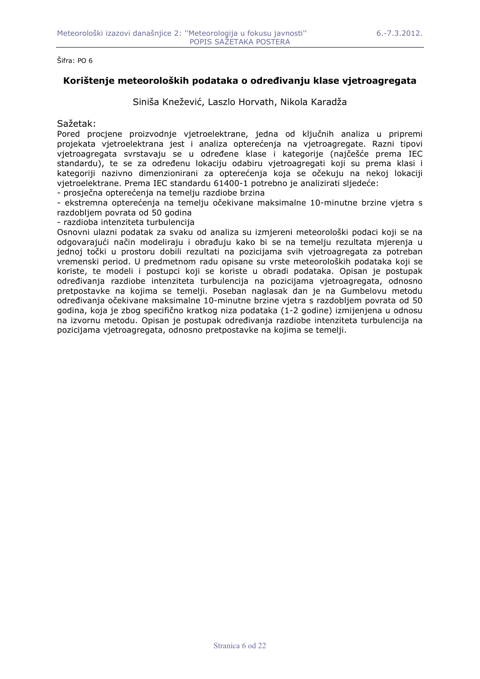## **Korištenje meteoroloških podataka o odreñivanju klase vjetroagregata**

Siniša Knežević, Laszlo Horvath, Nikola Karadža

#### Sažetak:

Pored procjene proizvodnje vjetroelektrane, jedna od ključnih analiza u pripremi projekata vjetroelektrana jest i analiza opterećenja na vjetroagregate. Razni tipovi vjetroagregata svrstavaju se u odreñene klase i kategorije (najčešće prema IEC standardu), te se za određenu lokaciju odabiru vjetroagregati koji su prema klasi i kategoriji nazivno dimenzionirani za opterećenja koja se očekuju na nekoj lokaciji vjetroelektrane. Prema IEC standardu 61400-1 potrebno je analizirati sljedeće:

- prosječna opterećenja na temelju razdiobe brzina

- ekstremna opterećenja na temelju očekivane maksimalne 10-minutne brzine vjetra s razdobljem povrata od 50 godina

- razdioba intenziteta turbulencija

Osnovni ulazni podatak za svaku od analiza su izmjereni meteorološki podaci koji se na odgovarajući način modeliraju i obrađuju kako bi se na temelju rezultata mjerenja u jednoj točki u prostoru dobili rezultati na pozicijama svih vjetroagregata za potreban vremenski period. U predmetnom radu opisane su vrste meteoroloških podataka koji se koriste, te modeli i postupci koji se koriste u obradi podataka. Opisan je postupak odreñivanja razdiobe intenziteta turbulencija na pozicijama vjetroagregata, odnosno pretpostavke na kojima se temelji. Poseban naglasak dan je na Gumbelovu metodu odreñivanja očekivane maksimalne 10-minutne brzine vjetra s razdobljem povrata od 50 godina, koja je zbog specifično kratkog niza podataka (1-2 godine) izmijenjena u odnosu na izvornu metodu. Opisan je postupak odreñivanja razdiobe intenziteta turbulencija na pozicijama vjetroagregata, odnosno pretpostavke na kojima se temelji.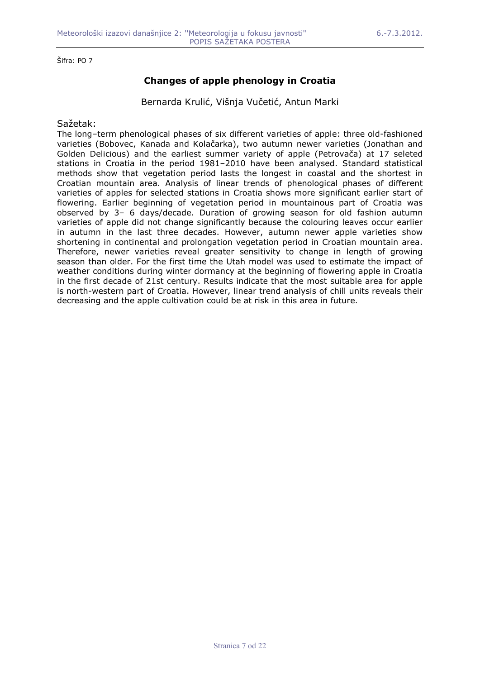# **Changes of apple phenology in Croatia**

Bernarda Krulić, Višnja Vučetić, Antun Marki

Sažetak:

The long–term phenological phases of six different varieties of apple: three old-fashioned varieties (Bobovec, Kanada and Kolačarka), two autumn newer varieties (Jonathan and Golden Delicious) and the earliest summer variety of apple (Petrovača) at 17 seleted stations in Croatia in the period 1981–2010 have been analysed. Standard statistical methods show that vegetation period lasts the longest in coastal and the shortest in Croatian mountain area. Analysis of linear trends of phenological phases of different varieties of apples for selected stations in Croatia shows more significant earlier start of flowering. Earlier beginning of vegetation period in mountainous part of Croatia was observed by 3– 6 days/decade. Duration of growing season for old fashion autumn varieties of apple did not change significantly because the colouring leaves occur earlier in autumn in the last three decades. However, autumn newer apple varieties show shortening in continental and prolongation vegetation period in Croatian mountain area. Therefore, newer varieties reveal greater sensitivity to change in length of growing season than older. For the first time the Utah model was used to estimate the impact of weather conditions during winter dormancy at the beginning of flowering apple in Croatia in the first decade of 21st century. Results indicate that the most suitable area for apple is north-western part of Croatia. However, linear trend analysis of chill units reveals their decreasing and the apple cultivation could be at risk in this area in future.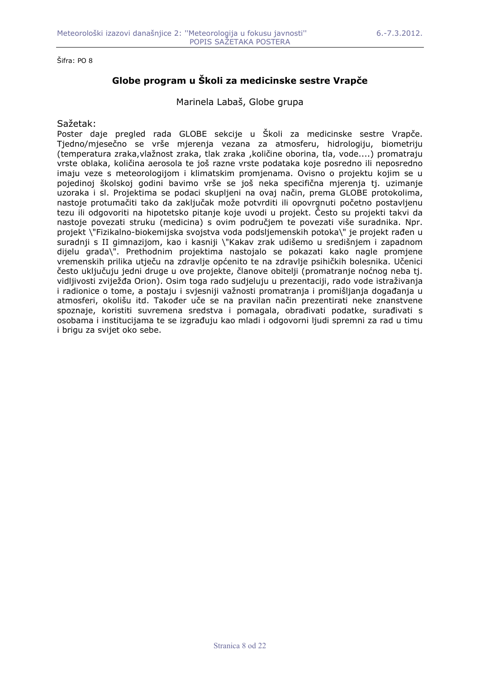# **Globe program u Školi za medicinske sestre Vrapče**

Marinela Labaš, Globe grupa

#### Sažetak:

Poster daje pregled rada GLOBE sekcije u Školi za medicinske sestre Vrapče. Tjedno/mjesečno se vrše mjerenja vezana za atmosferu, hidrologiju, biometriju (temperatura zraka,vlažnost zraka, tlak zraka ,količine oborina, tla, vode....) promatraju vrste oblaka, količina aerosola te još razne vrste podataka koje posredno ili neposredno imaju veze s meteorologijom i klimatskim promjenama. Ovisno o projektu kojim se u pojedinoj školskoj godini bavimo vrše se još neka specifična mjerenja tj. uzimanje uzoraka i sl. Projektima se podaci skupljeni na ovaj način, prema GLOBE protokolima, nastoje protumačiti tako da zaključak može potvrditi ili opovrgnuti početno postavljenu tezu ili odgovoriti na hipotetsko pitanje koje uvodi u projekt. Često su projekti takvi da nastoje povezati struku (medicina) s ovim područjem te povezati više suradnika. Npr. projekt \"Fizikalno-biokemijska svojstva voda podsljemenskih potoka\" je projekt rađen u suradnji s II gimnazijom, kao i kasniji \"Kakav zrak udišemo u središnjem i zapadnom dijelu grada\". Prethodnim projektima nastojalo se pokazati kako nagle promjene vremenskih prilika utječu na zdravlje općenito te na zdravlje psihičkih bolesnika. Učenici često uključuju jedni druge u ove projekte, članove obitelji (promatranje noćnog neba tj. vidljivosti zviježña Orion). Osim toga rado sudjeluju u prezentaciji, rado vode istraživanja i radionice o tome, a postaju i svjesniji važnosti promatranja i promišljanja događanja u atmosferi, okolišu itd. Takoñer uče se na pravilan način prezentirati neke znanstvene spoznaje, koristiti suvremena sredstva i pomagala, obrađivati podatke, surađivati s osobama i institucijama te se izgrañuju kao mladi i odgovorni ljudi spremni za rad u timu i brigu za svijet oko sebe.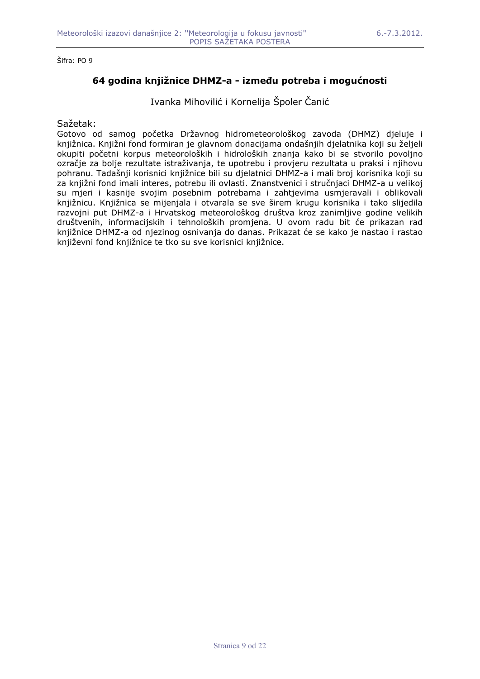## **64 godina knjižnice DHMZ-a - izmeñu potreba i mogućnosti**

Ivanka Mihovilić i Kornelija Špoler Čanić

### Sažetak:

Gotovo od samog početka Državnog hidrometeorološkog zavoda (DHMZ) djeluje i knjižnica. Knjižni fond formiran je glavnom donacijama ondašnjih djelatnika koji su željeli okupiti početni korpus meteoroloških i hidroloških znanja kako bi se stvorilo povoljno ozračje za bolje rezultate istraživanja, te upotrebu i provjeru rezultata u praksi i njihovu pohranu. Tadašnji korisnici knjižnice bili su djelatnici DHMZ-a i mali broj korisnika koji su za knjižni fond imali interes, potrebu ili ovlasti. Znanstvenici i stručnjaci DHMZ-a u velikoj su mjeri i kasnije svojim posebnim potrebama i zahtjevima usmjeravali i oblikovali knjižnicu. Knjižnica se mijenjala i otvarala se sve širem krugu korisnika i tako slijedila razvojni put DHMZ-a i Hrvatskog meteorološkog društva kroz zanimljive godine velikih društvenih, informacijskih i tehnoloških promjena. U ovom radu bit će prikazan rad knjižnice DHMZ-a od njezinog osnivanja do danas. Prikazat će se kako je nastao i rastao književni fond knjižnice te tko su sve korisnici knjižnice.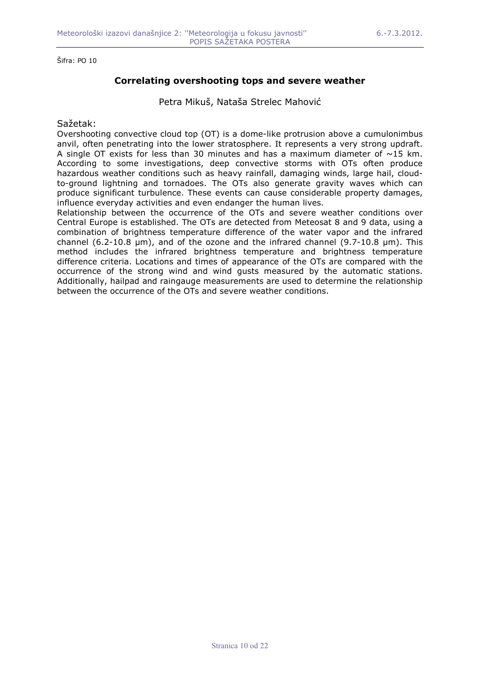## **Correlating overshooting tops and severe weather**

Petra Mikuš, Nataša Strelec Mahović

### Sažetak:

Overshooting convective cloud top (OT) is a dome-like protrusion above a cumulonimbus anvil, often penetrating into the lower stratosphere. It represents a very strong updraft. A single OT exists for less than 30 minutes and has a maximum diameter of  $\sim$ 15 km. According to some investigations, deep convective storms with OTs often produce hazardous weather conditions such as heavy rainfall, damaging winds, large hail, cloudto-ground lightning and tornadoes. The OTs also generate gravity waves which can produce significant turbulence. These events can cause considerable property damages, influence everyday activities and even endanger the human lives.

Relationship between the occurrence of the OTs and severe weather conditions over Central Europe is established. The OTs are detected from Meteosat 8 and 9 data, using a combination of brightness temperature difference of the water vapor and the infrared channel (6.2-10.8  $\mu$ m), and of the ozone and the infrared channel (9.7-10.8  $\mu$ m). This method includes the infrared brightness temperature and brightness temperature difference criteria. Locations and times of appearance of the OTs are compared with the occurrence of the strong wind and wind gusts measured by the automatic stations. Additionally, hailpad and raingauge measurements are used to determine the relationship between the occurrence of the OTs and severe weather conditions.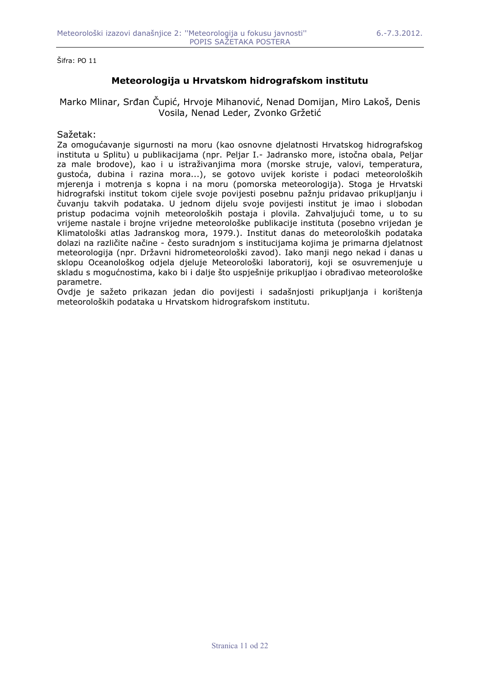# **Meteorologija u Hrvatskom hidrografskom institutu**

Marko Mlinar, Srñan Čupić, Hrvoje Mihanović, Nenad Domijan, Miro Lakoš, Denis Vosila, Nenad Leder, Zvonko Gržetić

### Sažetak:

Za omogućavanje sigurnosti na moru (kao osnovne djelatnosti Hrvatskog hidrografskog instituta u Splitu) u publikacijama (npr. Peljar I.- Jadransko more, istočna obala, Peljar za male brodove), kao i u istraživanjima mora (morske struje, valovi, temperatura, gustoća, dubina i razina mora...), se gotovo uvijek koriste i podaci meteoroloških mjerenja i motrenja s kopna i na moru (pomorska meteorologija). Stoga je Hrvatski hidrografski institut tokom cijele svoje povijesti posebnu pažnju pridavao prikupljanju i čuvanju takvih podataka. U jednom dijelu svoje povijesti institut je imao i slobodan pristup podacima vojnih meteoroloških postaja i plovila. Zahvaljujući tome, u to su vrijeme nastale i brojne vrijedne meteorološke publikacije instituta (posebno vrijedan je Klimatološki atlas Jadranskog mora, 1979.). Institut danas do meteoroloških podataka dolazi na različite načine - često suradnjom s institucijama kojima je primarna djelatnost meteorologija (npr. Državni hidrometeorološki zavod). Iako manji nego nekad i danas u sklopu Oceanološkog odjela djeluje Meteorološki laboratorij, koji se osuvremenjuje u skladu s mogućnostima, kako bi i dalje što uspješnije prikupljao i obrađivao meteorološke parametre.

Ovdje je sažeto prikazan jedan dio povijesti i sadašnjosti prikupljanja i korištenja meteoroloških podataka u Hrvatskom hidrografskom institutu.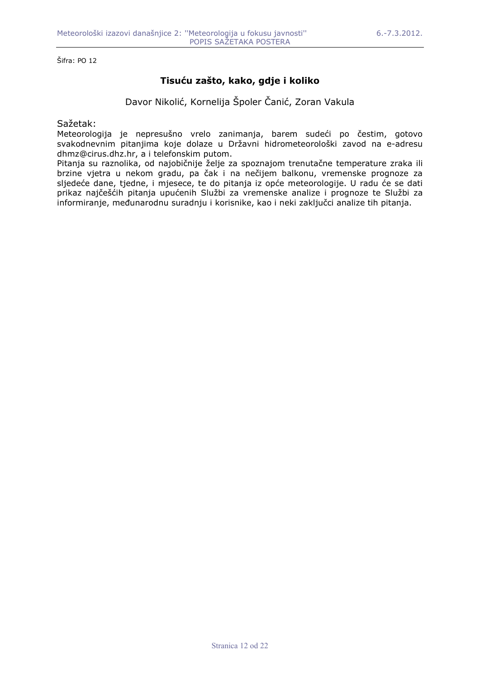# **Tisuću zašto, kako, gdje i koliko**

Davor Nikolić, Kornelija Špoler Čanić, Zoran Vakula

Sažetak:

Meteorologija je nepresušno vrelo zanimanja, barem sudeći po čestim, gotovo svakodnevnim pitanjima koje dolaze u Državni hidrometeorološki zavod na e-adresu dhmz@cirus.dhz.hr, a i telefonskim putom.

Pitanja su raznolika, od najobičnije želje za spoznajom trenutačne temperature zraka ili brzine vjetra u nekom gradu, pa čak i na nečijem balkonu, vremenske prognoze za sljedeće dane, tjedne, i mjesece, te do pitanja iz opće meteorologije. U radu će se dati prikaz najčešćih pitanja upućenih Službi za vremenske analize i prognoze te Službi za informiranje, meñunarodnu suradnju i korisnike, kao i neki zaključci analize tih pitanja.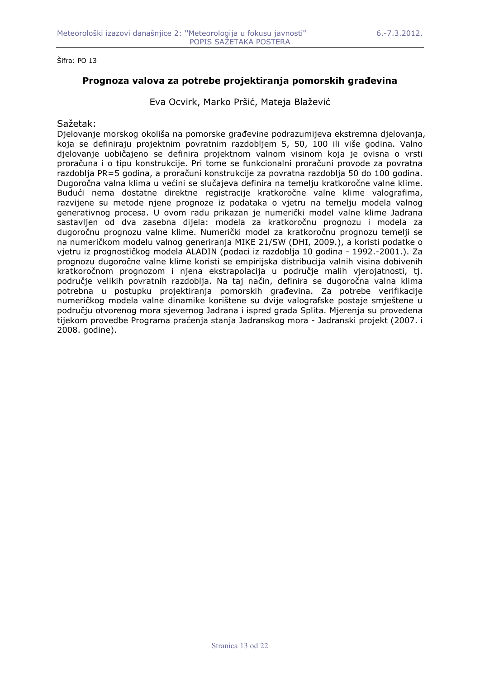## **Prognoza valova za potrebe projektiranja pomorskih grañevina**

Eva Ocvirk, Marko Pršić, Mateja Blažević

### Sažetak:

Djelovanje morskog okoliša na pomorske grañevine podrazumijeva ekstremna djelovanja, koja se definiraju projektnim povratnim razdobljem 5, 50, 100 ili više godina. Valno djelovanje uobičajeno se definira projektnom valnom visinom koja je ovisna o vrsti proračuna i o tipu konstrukcije. Pri tome se funkcionalni proračuni provode za povratna razdoblja PR=5 godina, a proračuni konstrukcije za povratna razdoblja 50 do 100 godina. Dugoročna valna klima u većini se slučajeva definira na temelju kratkoročne valne klime. Budući nema dostatne direktne registracije kratkoročne valne klime valografima, razvijene su metode njene prognoze iz podataka o vjetru na temelju modela valnog generativnog procesa. U ovom radu prikazan je numerički model valne klime Jadrana sastavljen od dva zasebna dijela: modela za kratkoročnu prognozu i modela za dugoročnu prognozu valne klime. Numerički model za kratkoročnu prognozu temelji se na numeričkom modelu valnog generiranja MIKE 21/SW (DHI, 2009.), a koristi podatke o vjetru iz prognostičkog modela ALADIN (podaci iz razdoblja 10 godina - 1992.-2001.). Za prognozu dugoročne valne klime koristi se empirijska distribucija valnih visina dobivenih kratkoročnom prognozom i njena ekstrapolacija u područje malih vjerojatnosti, tj. područje velikih povratnih razdoblja. Na taj način, definira se dugoročna valna klima potrebna u postupku projektiranja pomorskih grañevina. Za potrebe verifikacije numeričkog modela valne dinamike korištene su dvije valografske postaje smještene u području otvorenog mora sjevernog Jadrana i ispred grada Splita. Mjerenja su provedena tijekom provedbe Programa praćenja stanja Jadranskog mora - Jadranski projekt (2007. i 2008. godine).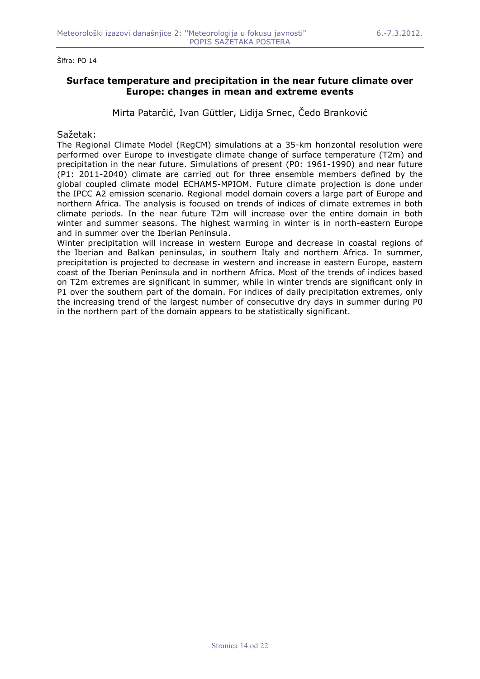## **Surface temperature and precipitation in the near future climate over Europe: changes in mean and extreme events**

Mirta Patarčić, Ivan Güttler, Lidija Srnec, Čedo Branković

#### Sažetak:

The Regional Climate Model (RegCM) simulations at a 35-km horizontal resolution were performed over Europe to investigate climate change of surface temperature (T2m) and precipitation in the near future. Simulations of present (P0: 1961-1990) and near future (P1: 2011-2040) climate are carried out for three ensemble members defined by the global coupled climate model ECHAM5-MPIOM. Future climate projection is done under the IPCC A2 emission scenario. Regional model domain covers a large part of Europe and northern Africa. The analysis is focused on trends of indices of climate extremes in both climate periods. In the near future T2m will increase over the entire domain in both winter and summer seasons. The highest warming in winter is in north-eastern Europe and in summer over the Iberian Peninsula.

Winter precipitation will increase in western Europe and decrease in coastal regions of the Iberian and Balkan peninsulas, in southern Italy and northern Africa. In summer, precipitation is projected to decrease in western and increase in eastern Europe, eastern coast of the Iberian Peninsula and in northern Africa. Most of the trends of indices based on T2m extremes are significant in summer, while in winter trends are significant only in P1 over the southern part of the domain. For indices of daily precipitation extremes, only the increasing trend of the largest number of consecutive dry days in summer during P0 in the northern part of the domain appears to be statistically significant.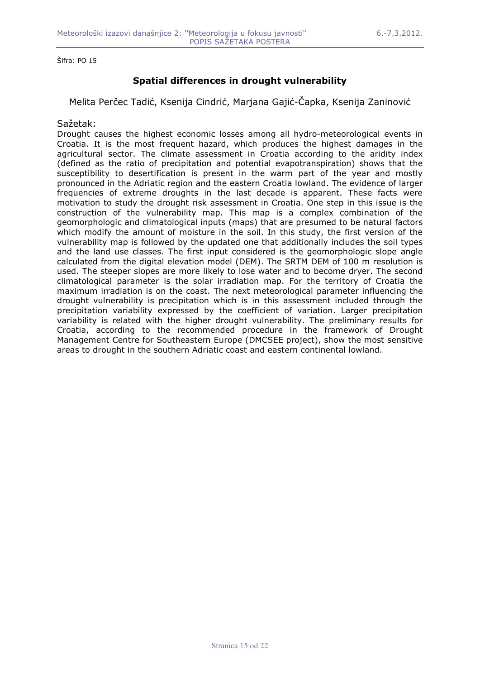# **Spatial differences in drought vulnerability**

Melita Perčec Tadić, Ksenija Cindrić, Marjana Gajić-Čapka, Ksenija Zaninović

### Sažetak:

Drought causes the highest economic losses among all hydro-meteorological events in Croatia. It is the most frequent hazard, which produces the highest damages in the agricultural sector. The climate assessment in Croatia according to the aridity index (defined as the ratio of precipitation and potential evapotranspiration) shows that the susceptibility to desertification is present in the warm part of the year and mostly pronounced in the Adriatic region and the eastern Croatia lowland. The evidence of larger frequencies of extreme droughts in the last decade is apparent. These facts were motivation to study the drought risk assessment in Croatia. One step in this issue is the construction of the vulnerability map. This map is a complex combination of the geomorphologic and climatological inputs (maps) that are presumed to be natural factors which modify the amount of moisture in the soil. In this study, the first version of the vulnerability map is followed by the updated one that additionally includes the soil types and the land use classes. The first input considered is the geomorphologic slope angle calculated from the digital elevation model (DEM). The SRTM DEM of 100 m resolution is used. The steeper slopes are more likely to lose water and to become dryer. The second climatological parameter is the solar irradiation map. For the territory of Croatia the maximum irradiation is on the coast. The next meteorological parameter influencing the drought vulnerability is precipitation which is in this assessment included through the precipitation variability expressed by the coefficient of variation. Larger precipitation variability is related with the higher drought vulnerability. The preliminary results for Croatia, according to the recommended procedure in the framework of Drought Management Centre for Southeastern Europe (DMCSEE project), show the most sensitive areas to drought in the southern Adriatic coast and eastern continental lowland.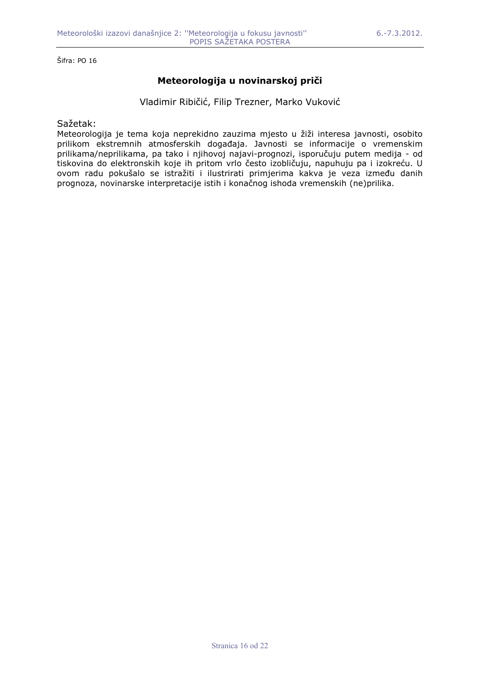# **Meteorologija u novinarskoj priči**

Vladimir Ribičić, Filip Trezner, Marko Vuković

### Sažetak:

Meteorologija je tema koja neprekidno zauzima mjesto u žiži interesa javnosti, osobito prilikom ekstremnih atmosferskih dogañaja. Javnosti se informacije o vremenskim prilikama/neprilikama, pa tako i njihovoj najavi-prognozi, isporučuju putem medija - od tiskovina do elektronskih koje ih pritom vrlo često izobličuju, napuhuju pa i izokreću. U ovom radu pokušalo se istražiti i ilustrirati primjerima kakva je veza izmeñu danih prognoza, novinarske interpretacije istih i konačnog ishoda vremenskih (ne)prilika.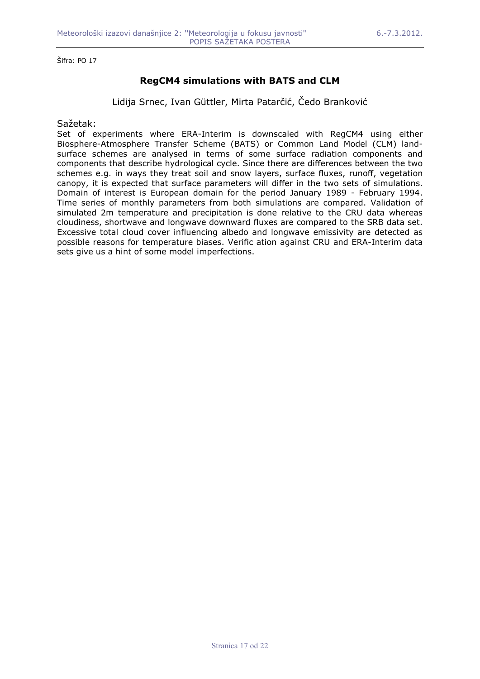# **RegCM4 simulations with BATS and CLM**

Lidija Srnec, Ivan Güttler, Mirta Patarčić, Čedo Branković

Sažetak:

Set of experiments where ERA-Interim is downscaled with RegCM4 using either Biosphere-Atmosphere Transfer Scheme (BATS) or Common Land Model (CLM) landsurface schemes are analysed in terms of some surface radiation components and components that describe hydrological cycle. Since there are differences between the two schemes e.g. in ways they treat soil and snow layers, surface fluxes, runoff, vegetation canopy, it is expected that surface parameters will differ in the two sets of simulations. Domain of interest is European domain for the period January 1989 - February 1994. Time series of monthly parameters from both simulations are compared. Validation of simulated 2m temperature and precipitation is done relative to the CRU data whereas cloudiness, shortwave and longwave downward fluxes are compared to the SRB data set. Excessive total cloud cover influencing albedo and longwave emissivity are detected as possible reasons for temperature biases. Verific ation against CRU and ERA-Interim data sets give us a hint of some model imperfections.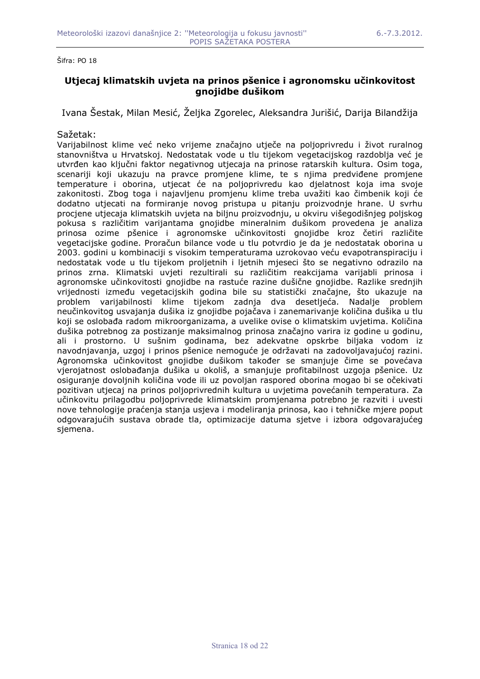## **Utjecaj klimatskih uvjeta na prinos pšenice i agronomsku učinkovitost gnojidbe dušikom**

Ivana Šestak, Milan Mesić, Željka Zgorelec, Aleksandra Jurišić, Darija Bilandžija

### Sažetak:

Varijabilnost klime već neko vrijeme značajno utječe na poljoprivredu i život ruralnog stanovništva u Hrvatskoj. Nedostatak vode u tlu tijekom vegetacijskog razdoblja već je utvrñen kao ključni faktor negativnog utjecaja na prinose ratarskih kultura. Osim toga, scenariji koji ukazuju na pravce promjene klime, te s njima predviñene promjene temperature i oborina, utjecat će na poljoprivredu kao djelatnost koja ima svoje zakonitosti. Zbog toga i najavljenu promjenu klime treba uvažiti kao čimbenik koji će dodatno utjecati na formiranje novog pristupa u pitanju proizvodnje hrane. U svrhu procjene utjecaja klimatskih uvjeta na biljnu proizvodnju, u okviru višegodišnjeg poljskog pokusa s različitim varijantama gnojidbe mineralnim dušikom provedena je analiza prinosa ozime pšenice i agronomske učinkovitosti gnojidbe kroz četiri različite vegetacijske godine. Proračun bilance vode u tlu potvrdio je da je nedostatak oborina u 2003. godini u kombinaciji s visokim temperaturama uzrokovao veću evapotranspiraciju i nedostatak vode u tlu tijekom proljetnih i ljetnih mjeseci što se negativno odrazilo na prinos zrna. Klimatski uvjeti rezultirali su različitim reakcijama varijabli prinosa i agronomske učinkovitosti gnojidbe na rastuće razine dušične gnojidbe. Razlike srednjih vrijednosti izmeñu vegetacijskih godina bile su statistički značajne, što ukazuje na problem varijabilnosti klime tijekom zadnja dva desetljeća. Nadalje problem neučinkovitog usvajanja dušika iz gnojidbe pojačava i zanemarivanje količina dušika u tlu koji se oslobaña radom mikroorganizama, a uvelike ovise o klimatskim uvjetima. Količina dušika potrebnog za postizanje maksimalnog prinosa značajno varira iz godine u godinu, ali i prostorno. U sušnim godinama, bez adekvatne opskrbe biljaka vodom iz navodnjavanja, uzgoj i prinos pšenice nemoguće je održavati na zadovoljavajućoj razini. Agronomska učinkovitost gnojidbe dušikom također se smanjuje čime se povećava vjerojatnost oslobañanja dušika u okoliš, a smanjuje profitabilnost uzgoja pšenice. Uz osiguranje dovoljnih količina vode ili uz povoljan raspored oborina mogao bi se očekivati pozitivan utjecaj na prinos poljoprivrednih kultura u uvjetima povećanih temperatura. Za učinkovitu prilagodbu poljoprivrede klimatskim promjenama potrebno je razviti i uvesti nove tehnologije praćenja stanja usjeva i modeliranja prinosa, kao i tehničke mjere poput odgovarajućih sustava obrade tla, optimizacije datuma sjetve i izbora odgovarajućeg sjemena.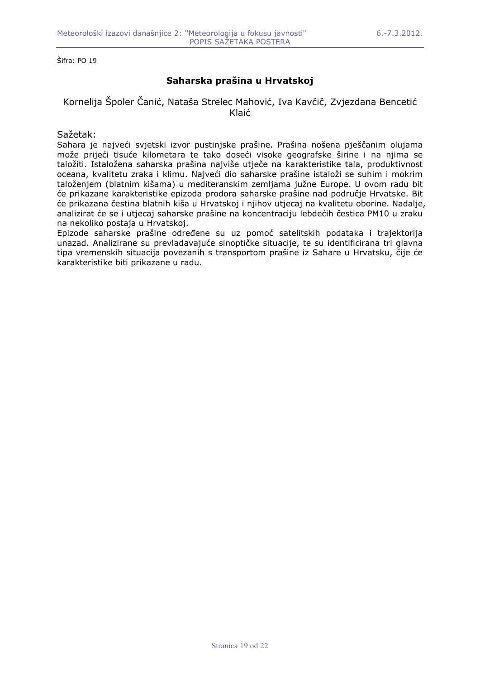## **Saharska prašina u Hrvatskoj**

### Kornelija Špoler Čanić, Nataša Strelec Mahović, Iva Kavčič, Zvjezdana Bencetić Klaić

### Sažetak:

Sahara je najveći svjetski izvor pustinjske prašine. Prašina nošena pješčanim olujama može prijeći tisuće kilometara te tako doseći visoke geografske širine i na njima se taložiti. Istaložena saharska prašina najviše utječe na karakteristike tala, produktivnost oceana, kvalitetu zraka i klimu. Najveći dio saharske prašine istaloži se suhim i mokrim taloženjem (blatnim kišama) u mediteranskim zemljama južne Europe. U ovom radu bit će prikazane karakteristike epizoda prodora saharske prašine nad područje Hrvatske. Bit će prikazana čestina blatnih kiša u Hrvatskoj i njihov utjecaj na kvalitetu oborine. Nadalje, analizirat će se i utjecaj saharske prašine na koncentraciju lebdećih čestica PM10 u zraku na nekoliko postaja u Hrvatskoj.

Epizode saharske prašine odreñene su uz pomoć satelitskih podataka i trajektorija unazad. Analizirane su prevladavajuće sinoptičke situacije, te su identificirana tri glavna tipa vremenskih situacija povezanih s transportom prašine iz Sahare u Hrvatsku, čije će karakteristike biti prikazane u radu.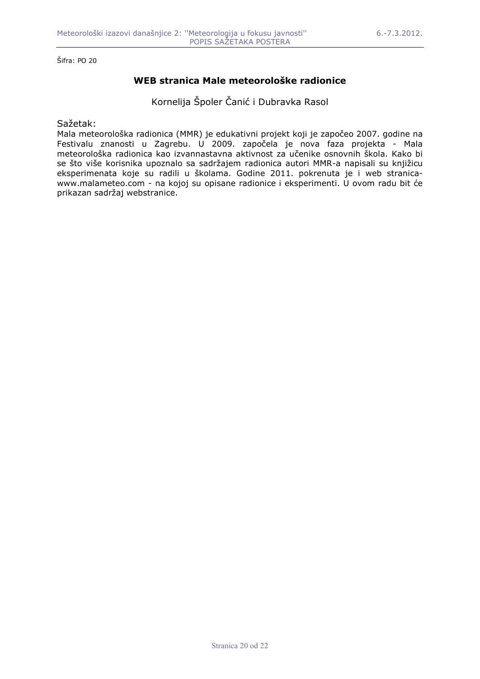# **WEB stranica Male meteorološke radionice**

Kornelija Špoler Čanić i Dubravka Rasol

Sažetak:

Mala meteorološka radionica (MMR) je edukativni projekt koji je započeo 2007. godine na Festivalu znanosti u Zagrebu. U 2009. započela je nova faza projekta - Mala meteorološka radionica kao izvannastavna aktivnost za učenike osnovnih škola. Kako bi se što više korisnika upoznalo sa sadržajem radionica autori MMR-a napisali su knjižicu eksperimenata koje su radili u školama. Godine 2011. pokrenuta je i web stranicawww.malameteo.com - na kojoj su opisane radionice i eksperimenti. U ovom radu bit će prikazan sadržaj webstranice.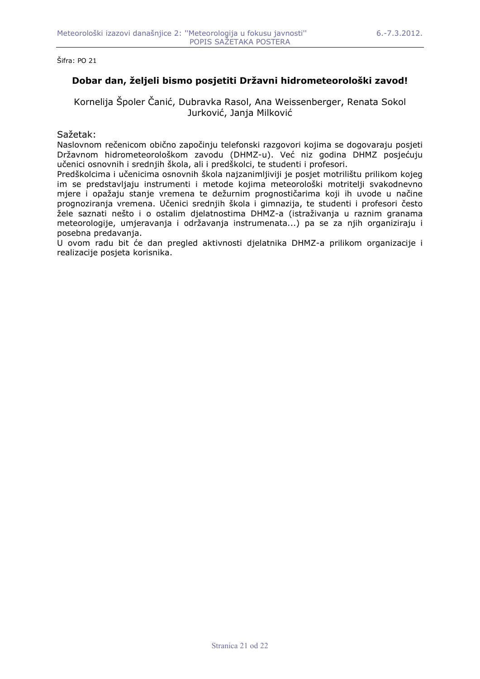## **Dobar dan, željeli bismo posjetiti Državni hidrometeorološki zavod!**

Kornelija Špoler Čanić, Dubravka Rasol, Ana Weissenberger, Renata Sokol Jurković, Janja Milković

### Sažetak:

Naslovnom rečenicom obično započinju telefonski razgovori kojima se dogovaraju posjeti Državnom hidrometeorološkom zavodu (DHMZ-u). Već niz godina DHMZ posjećuju učenici osnovnih i srednjih škola, ali i predškolci, te studenti i profesori.

Predškolcima i učenicima osnovnih škola najzanimljiviji je posjet motrilištu prilikom kojeg im se predstavljaju instrumenti i metode kojima meteorološki motritelji svakodnevno mjere i opažaju stanje vremena te dežurnim prognostičarima koji ih uvode u načine prognoziranja vremena. Učenici srednjih škola i gimnazija, te studenti i profesori često žele saznati nešto i o ostalim djelatnostima DHMZ-a (istraživanja u raznim granama meteorologije, umjeravanja i održavanja instrumenata...) pa se za njih organiziraju i posebna predavanja.

U ovom radu bit će dan pregled aktivnosti djelatnika DHMZ-a prilikom organizacije i realizacije posjeta korisnika.